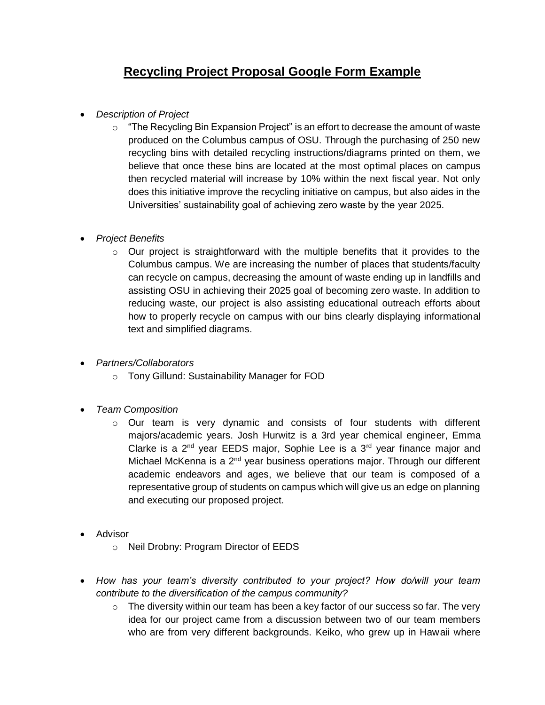## **Recycling Project Proposal Google Form Example**

- *Description of Project*
	- o "The Recycling Bin Expansion Project" is an effort to decrease the amount of waste produced on the Columbus campus of OSU. Through the purchasing of 250 new recycling bins with detailed recycling instructions/diagrams printed on them, we believe that once these bins are located at the most optimal places on campus then recycled material will increase by 10% within the next fiscal year. Not only does this initiative improve the recycling initiative on campus, but also aides in the Universities' sustainability goal of achieving zero waste by the year 2025.
- *Project Benefits*
	- $\circ$  Our project is straightforward with the multiple benefits that it provides to the Columbus campus. We are increasing the number of places that students/faculty can recycle on campus, decreasing the amount of waste ending up in landfills and assisting OSU in achieving their 2025 goal of becoming zero waste. In addition to reducing waste, our project is also assisting educational outreach efforts about how to properly recycle on campus with our bins clearly displaying informational text and simplified diagrams.
- *Partners/Collaborators*
	- o Tony Gillund: Sustainability Manager for FOD
- *Team Composition*
	- $\circ$  Our team is very dynamic and consists of four students with different majors/academic years. Josh Hurwitz is a 3rd year chemical engineer, Emma Clarke is a  $2^{nd}$  year EEDS major, Sophie Lee is a  $3^{rd}$  year finance major and Michael McKenna is a  $2<sup>nd</sup>$  year business operations major. Through our different academic endeavors and ages, we believe that our team is composed of a representative group of students on campus which will give us an edge on planning and executing our proposed project.
- Advisor
	- o Neil Drobny: Program Director of EEDS
- *How has your team's diversity contributed to your project? How do/will your team contribute to the diversification of the campus community?*
	- $\circ$  The diversity within our team has been a key factor of our success so far. The very idea for our project came from a discussion between two of our team members who are from very different backgrounds. Keiko, who grew up in Hawaii where